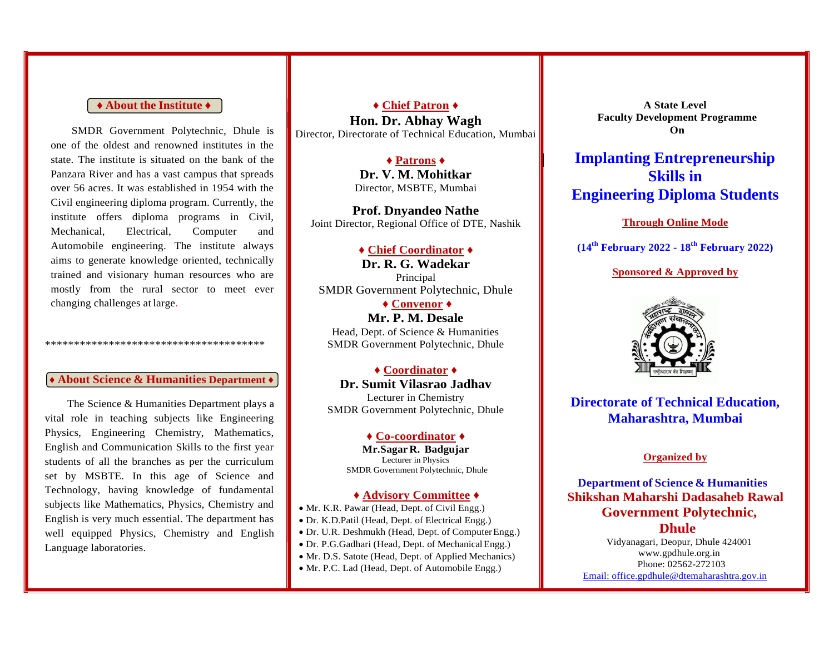#### **♦ About the Institute ♦**

SMDR Government Polytechnic, Dhule is one of the oldest and renowned institutes in the state. The institute is situated on the bank of the Panzara River and has a vast campus that spreads over 56 acres. It was established in 1954 with the Civil engineering diploma program. Currently, the institute offers diploma programs in Civil, Mechanical, Electrical, Computer and Automobile engineering. The institute always aims to generate knowledge oriented, technically trained and visionary human resources who are mostly from the rural sector to meet ever changing challenges at large.

## **♦ About Science & Humanities Department ♦**

\*\*\*\*\*\*\*\*\*\*\*\*\*\*\*\*\*\*\*\*\*\*\*\*\*\*\*\*\*\*\*\*\*\*\*\*\*\*

The Science & Humanities Department plays a vital role in teaching subjects like Engineering Physics, Engineering Chemistry, Mathematics, English and Communication Skills to the first year students of all the branches as per the curriculum set by MSBTE. In this age of Science and Technology, having knowledge of fundamental subjects like Mathematics, Physics, Chemistry and English is very much essential. The department has well equipped Physics, Chemistry and English Language laboratories.

**♦ Chief Patron ♦ Hon. Dr. Abhay Wagh** Director, Directorate of Technical Education, Mumbai

#### **♦ Patrons ♦**

**Dr. V. M. Mohitkar** Director, MSBTE, Mumbai

**Prof. Dnyandeo Nathe** Joint Director, Regional Office of DTE, Nashik

#### **♦ Chief Coordinator ♦**

**Dr. R. G. Wadekar**  Principal SMDR Government Polytechnic, Dhule

**♦ Convenor ♦ Mr. P. M. Desale**  Head, Dept. of Science & Humanities SMDR Government Polytechnic, Dhule

**♦ Coordinator ♦ Dr. Sumit Vilasrao Jadhav** Lecturer in Chemistry SMDR Government Polytechnic, Dhule

#### **♦ Co-coordinator ♦**

**Mr.Sagar R. Badgujar** Lecturer in Physics SMDR Government Polytechnic, Dhule

#### **♦ Advisory Committee ♦**

• Mr. K.R. Pawar (Head, Dept. of Civil Engg.)

- Dr. K.D.Patil (Head, Dept. of Electrical Engg.)
- Dr. U.R. Deshmukh (Head, Dept. of Computer Engg.)
- Dr. P.G.Gadhari (Head, Dept. of MechanicalEngg.)
- Mr. D.S. Satote (Head, Dept. of Applied Mechanics)
- Mr. P.C. Lad (Head, Dept. of Automobile Engg.)

**A State Level Faculty Development Programme On**

**Implanting Entrepreneurship Skills in Engineering Diploma Students**

#### **Through Online Mode**

**(14th February 2022 - 18th February 2022)**

#### **Sponsored & Approved by**



**Directorate of Technical Education, Maharashtra, Mumbai**

#### **Organized by**

**Department of Science & Humanities Shikshan Maharshi Dadasaheb Rawal Government Polytechnic, Dhule**

Vidyanagari, Deopur, Dhule 42400[1](http://www.gpdhule.org.in/) [www.gpdhule.org.in](http://www.gpdhule.org.in/) Phone: 02562-272103 [Email: office.gpdhule@dtemaharashtra.gov.in](mailto:Email:%20office.gpdhule@dtemaharashtra.gov.in)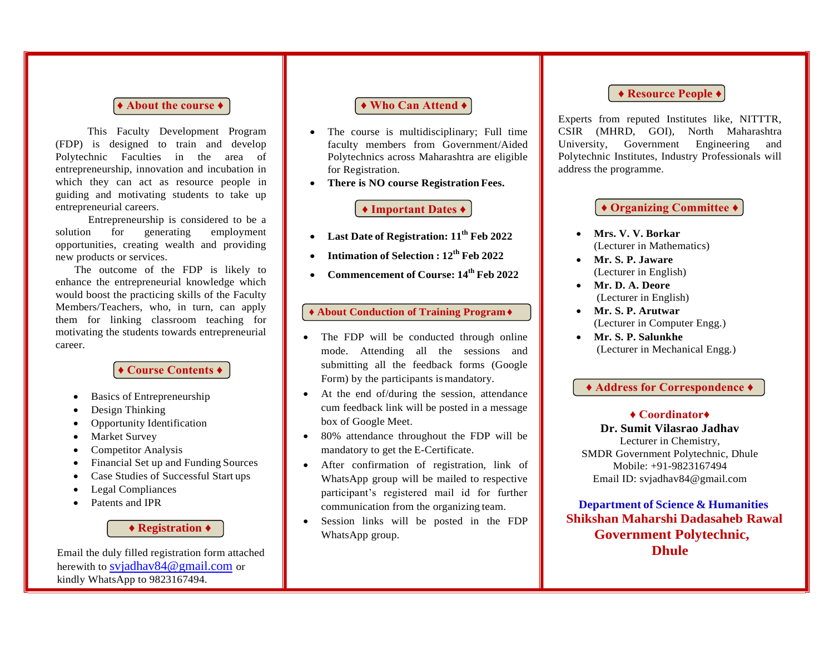#### **♦ About the course ♦**

This Faculty Development Program (FDP) is designed to train and develop Polytechnic Faculties in the area of entrepreneurship, innovation and incubation in which they can act as resource people in guiding and motivating students to take up entrepreneurial careers.

Entrepreneurship is considered to be a solution for generating employment opportunities, creating wealth and providing new products or services.

The outcome of the FDP is likely to enhance the entrepreneurial knowledge which would boost the practicing skills of the Faculty Members/Teachers, who, in turn, can apply them for linking classroom teaching for motivating the students towards entrepreneurial career.

### **♦ Course Contents ♦**

- Basics of Entrepreneurship
- Design Thinking
- Opportunity Identification
- Market Survey
- Competitor Analysis
- Financial Set up and Funding Sources
- Case Studies of Successful Start ups
- Legal Compliances
- Patents and IPR

**♦ Registration ♦**

Email the duly filled registration form attached herewith to sviadhav84@gmail.com or kindly WhatsApp to 9823167494.

## **♦ Who Can Attend ♦**

- The course is multidisciplinary; Full time faculty members from Government/Aided Polytechnics across Maharashtra are eligible for Registration.
- **There is NO course Registration Fees.**

## **♦ Important Dates ♦**

- **Last Date of Registration: 11th Feb 2022**
- **Intimation of Selection : 12 th Feb 2022**
- **Commencement of Course: 14th Feb 2022**

### **♦ About Conduction of Training Program ♦**

- The FDP will be conducted through online mode. Attending all the sessions and submitting all the feedback forms (Google Form) by the participants is mandatory.
- At the end of/during the session, attendance cum feedback link will be posted in a message box of Google Meet.
- 80% attendance throughout the FDP will be mandatory to get the E-Certificate.
- After confirmation of registration, link of WhatsApp group will be mailed to respective participant's registered mail id for further communication from the organizing team.
- Session links will be posted in the FDP WhatsApp group.

## **♦ Resource People ♦**

Experts from reputed Institutes like, NITTTR, CSIR (MHRD, GOI), North Maharashtra University, Government Engineering and Polytechnic Institutes, Industry Professionals will address the programme.

**♦ Organizing Committee ♦**

- **Mrs. V. V. Borkar** (Lecturer in Mathematics)
- **Mr. S. P. Jaware** (Lecturer in English)
- **Mr. D. A. Deore** (Lecturer in English)
- **Mr. S. P. Arutwar** (Lecturer in Computer Engg.)
- **Mr. S. P. Salunkhe** (Lecturer in Mechanical Engg.)

## **♦ Address for Correspondence ♦**

## **♦ Coordinator♦**

**Dr. Sumit Vilasrao Jadhav** Lecturer in Chemistry, SMDR Government Polytechnic, Dhule Mobile: +91-9823167494

Email ID: [svjadhav84@gmail.com](mailto:svjadhav84@gmail.com)

**Department of Science & Humanities Shikshan Maharshi Dadasaheb Rawal Government Polytechnic, Dhule**